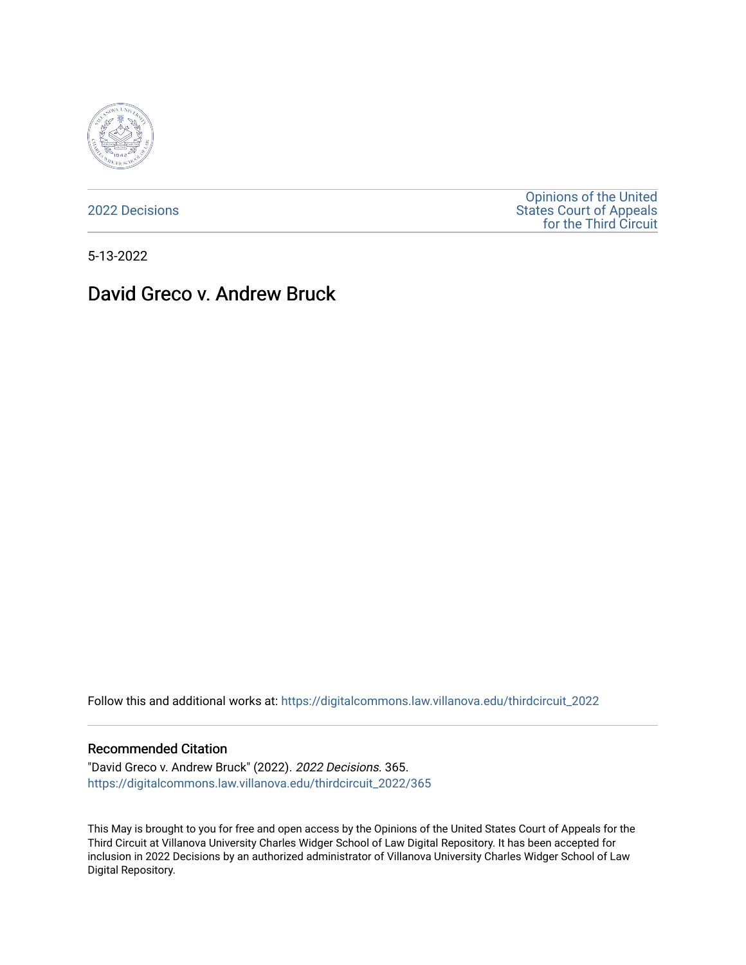

[2022 Decisions](https://digitalcommons.law.villanova.edu/thirdcircuit_2022)

[Opinions of the United](https://digitalcommons.law.villanova.edu/thirdcircuit)  [States Court of Appeals](https://digitalcommons.law.villanova.edu/thirdcircuit)  [for the Third Circuit](https://digitalcommons.law.villanova.edu/thirdcircuit) 

5-13-2022

# David Greco v. Andrew Bruck

Follow this and additional works at: [https://digitalcommons.law.villanova.edu/thirdcircuit\\_2022](https://digitalcommons.law.villanova.edu/thirdcircuit_2022?utm_source=digitalcommons.law.villanova.edu%2Fthirdcircuit_2022%2F365&utm_medium=PDF&utm_campaign=PDFCoverPages) 

### Recommended Citation

"David Greco v. Andrew Bruck" (2022). 2022 Decisions. 365. [https://digitalcommons.law.villanova.edu/thirdcircuit\\_2022/365](https://digitalcommons.law.villanova.edu/thirdcircuit_2022/365?utm_source=digitalcommons.law.villanova.edu%2Fthirdcircuit_2022%2F365&utm_medium=PDF&utm_campaign=PDFCoverPages)

This May is brought to you for free and open access by the Opinions of the United States Court of Appeals for the Third Circuit at Villanova University Charles Widger School of Law Digital Repository. It has been accepted for inclusion in 2022 Decisions by an authorized administrator of Villanova University Charles Widger School of Law Digital Repository.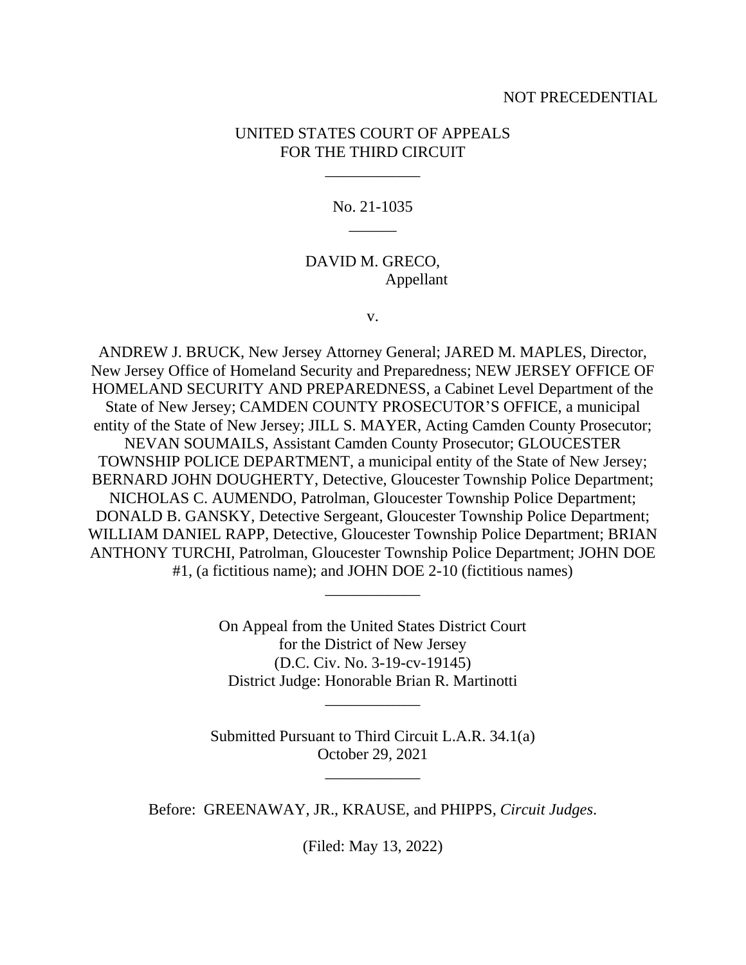### NOT PRECEDENTIAL

### UNITED STATES COURT OF APPEALS FOR THE THIRD CIRCUIT

\_\_\_\_\_\_\_\_\_\_\_\_

No. 21-1035  $\overline{\phantom{a}}$ 

### DAVID M. GRECO, Appellant

v.

ANDREW J. BRUCK, New Jersey Attorney General; JARED M. MAPLES, Director, New Jersey Office of Homeland Security and Preparedness; NEW JERSEY OFFICE OF HOMELAND SECURITY AND PREPAREDNESS, a Cabinet Level Department of the State of New Jersey; CAMDEN COUNTY PROSECUTOR'S OFFICE, a municipal entity of the State of New Jersey; JILL S. MAYER, Acting Camden County Prosecutor; NEVAN SOUMAILS, Assistant Camden County Prosecutor; GLOUCESTER TOWNSHIP POLICE DEPARTMENT, a municipal entity of the State of New Jersey; BERNARD JOHN DOUGHERTY, Detective, Gloucester Township Police Department; NICHOLAS C. AUMENDO, Patrolman, Gloucester Township Police Department; DONALD B. GANSKY, Detective Sergeant, Gloucester Township Police Department; WILLIAM DANIEL RAPP, Detective, Gloucester Township Police Department; BRIAN ANTHONY TURCHI, Patrolman, Gloucester Township Police Department; JOHN DOE #1, (a fictitious name); and JOHN DOE 2-10 (fictitious names)

> On Appeal from the United States District Court for the District of New Jersey (D.C. Civ. No. 3-19-cv-19145) District Judge: Honorable Brian R. Martinotti

> > \_\_\_\_\_\_\_\_\_\_\_\_

\_\_\_\_\_\_\_\_\_\_\_\_

Submitted Pursuant to Third Circuit L.A.R. 34.1(a) October 29, 2021

\_\_\_\_\_\_\_\_\_\_\_\_

Before: GREENAWAY, JR., KRAUSE, and PHIPPS, *Circuit Judges*.

(Filed: May 13, 2022)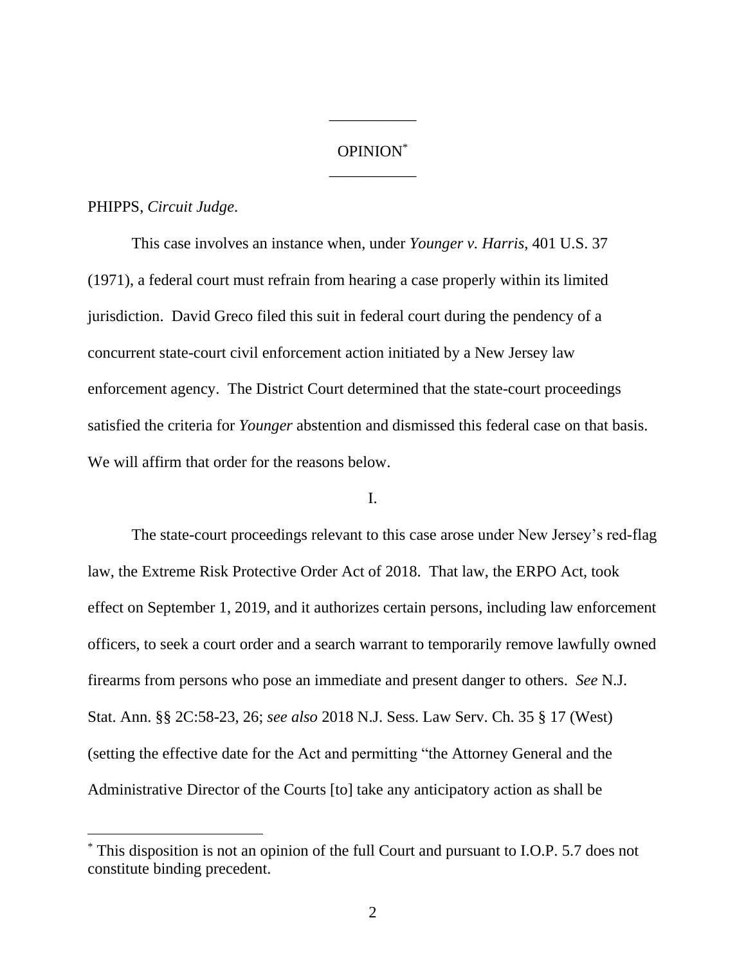# OPINION\* \_\_\_\_\_\_\_\_\_\_\_

\_\_\_\_\_\_\_\_\_\_\_

#### PHIPPS, *Circuit Judge*.

This case involves an instance when, under *Younger v. Harris*, 401 U.S. 37 (1971), a federal court must refrain from hearing a case properly within its limited jurisdiction. David Greco filed this suit in federal court during the pendency of a concurrent state-court civil enforcement action initiated by a New Jersey law enforcement agency. The District Court determined that the state-court proceedings satisfied the criteria for *Younger* abstention and dismissed this federal case on that basis. We will affirm that order for the reasons below.

## I.

The state-court proceedings relevant to this case arose under New Jersey's red-flag law, the Extreme Risk Protective Order Act of 2018. That law, the ERPO Act, took effect on September 1, 2019, and it authorizes certain persons, including law enforcement officers, to seek a court order and a search warrant to temporarily remove lawfully owned firearms from persons who pose an immediate and present danger to others. *See* N.J. Stat. Ann. §§ 2C:58-23, 26; *see also* 2018 N.J. Sess. Law Serv. Ch. 35 § 17 (West) (setting the effective date for the Act and permitting "the Attorney General and the Administrative Director of the Courts [to] take any anticipatory action as shall be

<sup>\*</sup> This disposition is not an opinion of the full Court and pursuant to I.O.P. 5.7 does not constitute binding precedent.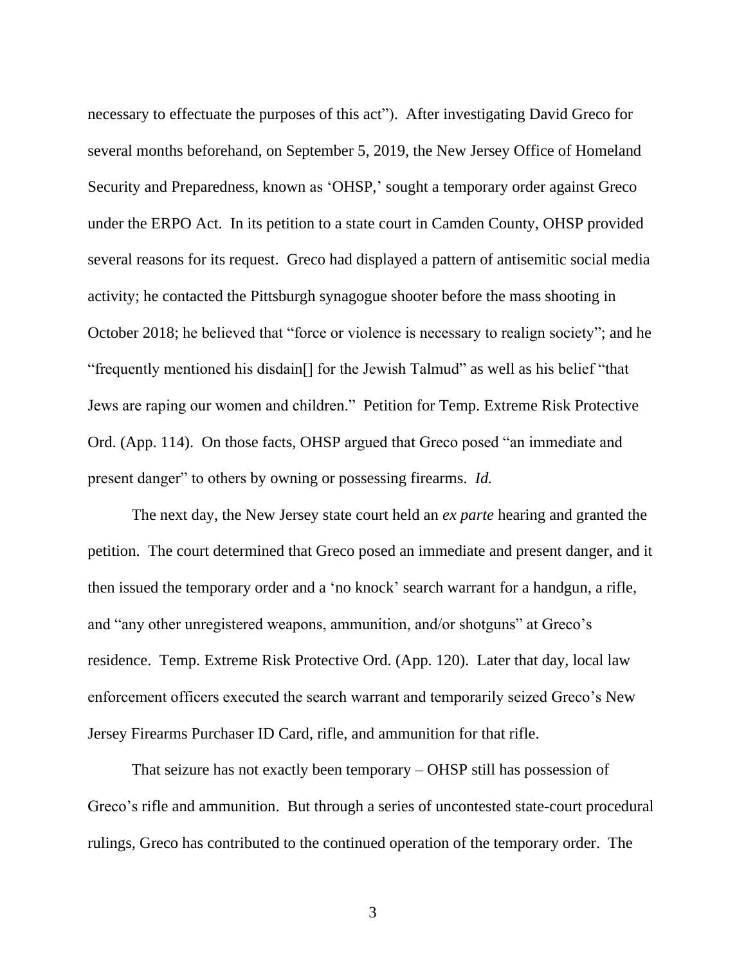necessary to effectuate the purposes of this act"). After investigating David Greco for several months beforehand, on September 5, 2019, the New Jersey Office of Homeland Security and Preparedness, known as 'OHSP,' sought a temporary order against Greco under the ERPO Act. In its petition to a state court in Camden County, OHSP provided several reasons for its request. Greco had displayed a pattern of antisemitic social media activity; he contacted the Pittsburgh synagogue shooter before the mass shooting in October 2018; he believed that "force or violence is necessary to realign society"; and he "frequently mentioned his disdain[] for the Jewish Talmud" as well as his belief "that Jews are raping our women and children." Petition for Temp. Extreme Risk Protective Ord. (App. 114). On those facts, OHSP argued that Greco posed "an immediate and present danger" to others by owning or possessing firearms. *Id.*

The next day, the New Jersey state court held an *ex parte* hearing and granted the petition. The court determined that Greco posed an immediate and present danger, and it then issued the temporary order and a 'no knock' search warrant for a handgun, a rifle, and "any other unregistered weapons, ammunition, and/or shotguns" at Greco's residence. Temp. Extreme Risk Protective Ord. (App. 120). Later that day, local law enforcement officers executed the search warrant and temporarily seized Greco's New Jersey Firearms Purchaser ID Card, rifle, and ammunition for that rifle.

That seizure has not exactly been temporary – OHSP still has possession of Greco's rifle and ammunition. But through a series of uncontested state-court procedural rulings, Greco has contributed to the continued operation of the temporary order. The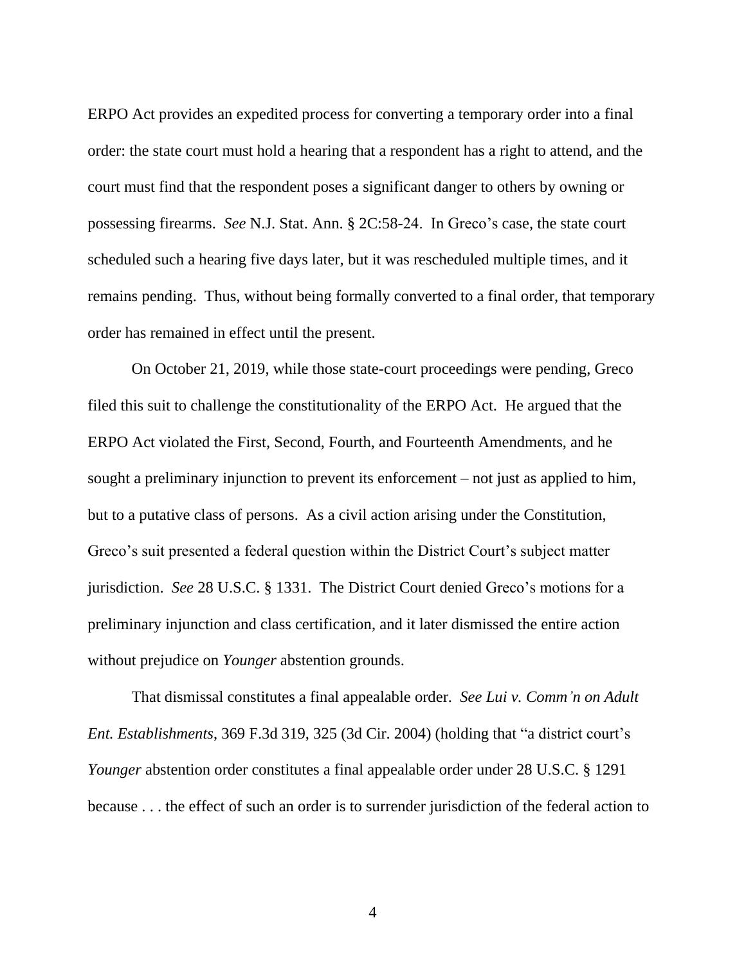ERPO Act provides an expedited process for converting a temporary order into a final order: the state court must hold a hearing that a respondent has a right to attend, and the court must find that the respondent poses a significant danger to others by owning or possessing firearms. *See* N.J. Stat. Ann. § 2C:58-24. In Greco's case, the state court scheduled such a hearing five days later, but it was rescheduled multiple times, and it remains pending. Thus, without being formally converted to a final order, that temporary order has remained in effect until the present.

On October 21, 2019, while those state-court proceedings were pending, Greco filed this suit to challenge the constitutionality of the ERPO Act. He argued that the ERPO Act violated the First, Second, Fourth, and Fourteenth Amendments, and he sought a preliminary injunction to prevent its enforcement – not just as applied to him, but to a putative class of persons. As a civil action arising under the Constitution, Greco's suit presented a federal question within the District Court's subject matter jurisdiction. *See* 28 U.S.C. § 1331. The District Court denied Greco's motions for a preliminary injunction and class certification, and it later dismissed the entire action without prejudice on *Younger* abstention grounds.

That dismissal constitutes a final appealable order. *See Lui v. Comm'n on Adult Ent. Establishments*, 369 F.3d 319, 325 (3d Cir. 2004) (holding that "a district court's *Younger* abstention order constitutes a final appealable order under 28 U.S.C. § 1291 because . . . the effect of such an order is to surrender jurisdiction of the federal action to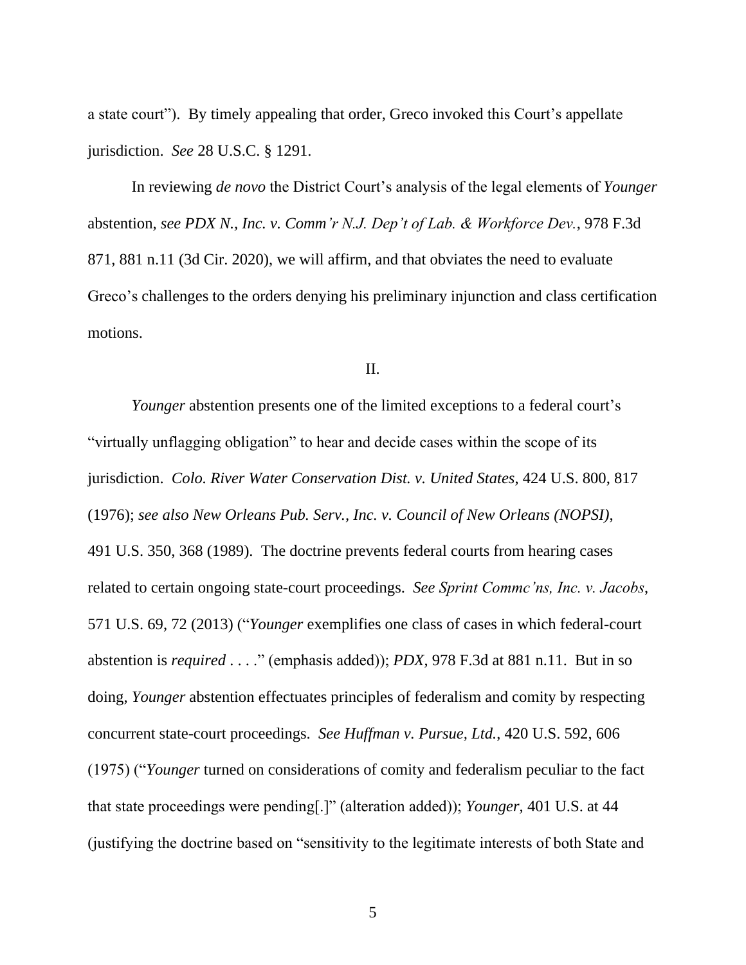a state court"). By timely appealing that order, Greco invoked this Court's appellate jurisdiction. *See* 28 U.S.C. § 1291.

In reviewing *de novo* the District Court's analysis of the legal elements of *Younger* abstention, *see PDX N., Inc. v. Comm'r N.J. Dep't of Lab. & Workforce Dev.*, 978 F.3d 871, 881 n.11 (3d Cir. 2020), we will affirm, and that obviates the need to evaluate Greco's challenges to the orders denying his preliminary injunction and class certification motions.

II.

*Younger* abstention presents one of the limited exceptions to a federal court's "virtually unflagging obligation" to hear and decide cases within the scope of its jurisdiction. *Colo. River Water Conservation Dist. v. United States*, 424 U.S. 800, 817 (1976); *see also New Orleans Pub. Serv., Inc. v. Council of New Orleans (NOPSI)*, 491 U.S. 350, 368 (1989). The doctrine prevents federal courts from hearing cases related to certain ongoing state-court proceedings. *See Sprint Commc'ns, Inc. v. Jacobs*, 571 U.S. 69, 72 (2013) ("*Younger* exemplifies one class of cases in which federal-court abstention is *required* . . . ." (emphasis added)); *PDX*, 978 F.3d at 881 n.11. But in so doing, *Younger* abstention effectuates principles of federalism and comity by respecting concurrent state-court proceedings. *See Huffman v. Pursue, Ltd.*, 420 U.S. 592, 606 (1975) ("*Younger* turned on considerations of comity and federalism peculiar to the fact that state proceedings were pending[.]" (alteration added)); *Younger*, 401 U.S. at 44 (justifying the doctrine based on "sensitivity to the legitimate interests of both State and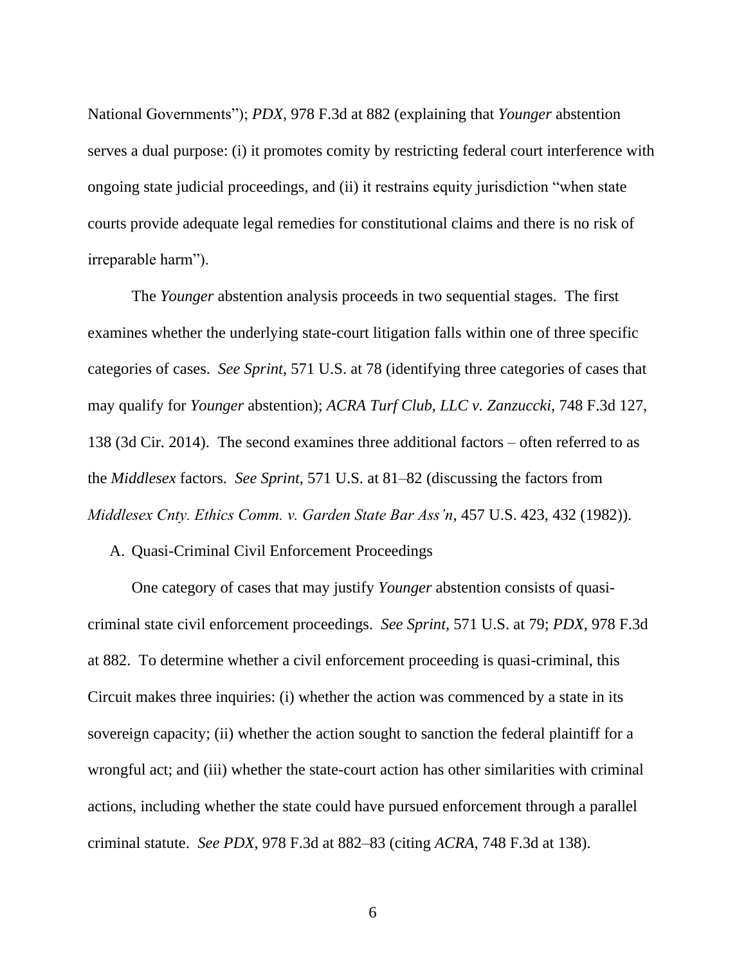National Governments"); *PDX*, 978 F.3d at 882 (explaining that *Younger* abstention serves a dual purpose: (i) it promotes comity by restricting federal court interference with ongoing state judicial proceedings, and (ii) it restrains equity jurisdiction "when state courts provide adequate legal remedies for constitutional claims and there is no risk of irreparable harm").

The *Younger* abstention analysis proceeds in two sequential stages. The first examines whether the underlying state-court litigation falls within one of three specific categories of cases. *See Sprint*, 571 U.S. at 78 (identifying three categories of cases that may qualify for *Younger* abstention); *ACRA Turf Club, LLC v. Zanzuccki*, 748 F.3d 127, 138 (3d Cir. 2014). The second examines three additional factors – often referred to as the *Middlesex* factors. *See Sprint*, 571 U.S. at 81–82 (discussing the factors from *Middlesex Cnty. Ethics Comm. v. Garden State Bar Ass'n*, 457 U.S. 423, 432 (1982)).

A. Quasi-Criminal Civil Enforcement Proceedings

One category of cases that may justify *Younger* abstention consists of quasicriminal state civil enforcement proceedings. *See Sprint*, 571 U.S. at 79; *PDX*, 978 F.3d at 882. To determine whether a civil enforcement proceeding is quasi-criminal, this Circuit makes three inquiries: (i) whether the action was commenced by a state in its sovereign capacity; (ii) whether the action sought to sanction the federal plaintiff for a wrongful act; and (iii) whether the state-court action has other similarities with criminal actions, including whether the state could have pursued enforcement through a parallel criminal statute. *See PDX*, 978 F.3d at 882–83 (citing *ACRA*, 748 F.3d at 138).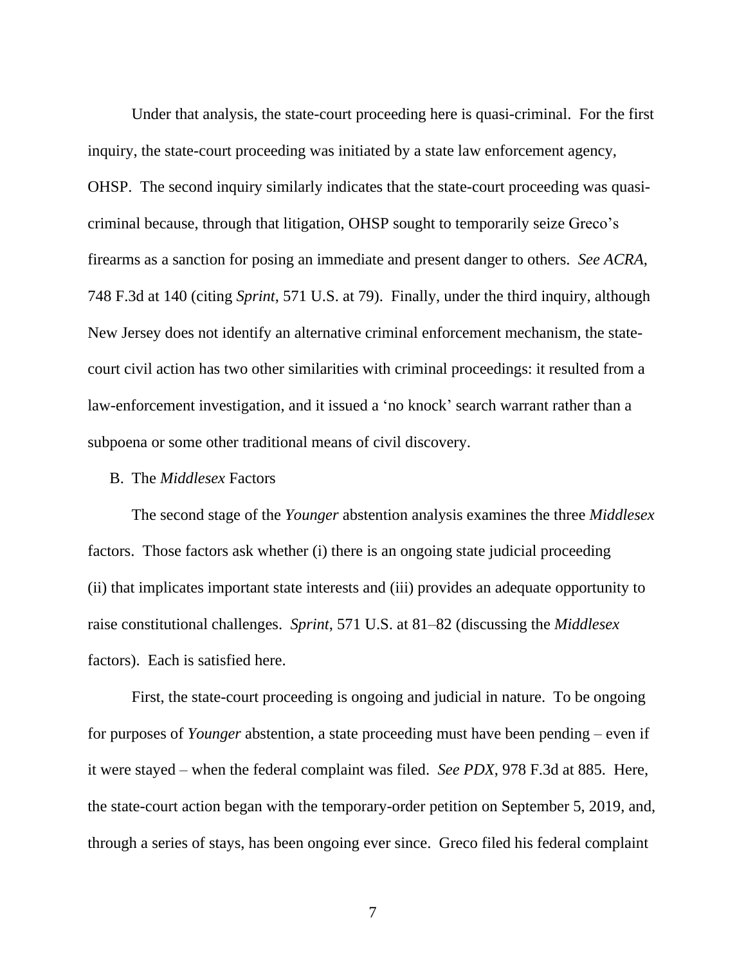Under that analysis, the state-court proceeding here is quasi-criminal. For the first inquiry, the state-court proceeding was initiated by a state law enforcement agency, OHSP. The second inquiry similarly indicates that the state-court proceeding was quasicriminal because, through that litigation, OHSP sought to temporarily seize Greco's firearms as a sanction for posing an immediate and present danger to others. *See ACRA*, 748 F.3d at 140 (citing *Sprint*, 571 U.S. at 79). Finally, under the third inquiry, although New Jersey does not identify an alternative criminal enforcement mechanism, the statecourt civil action has two other similarities with criminal proceedings: it resulted from a law-enforcement investigation, and it issued a 'no knock' search warrant rather than a subpoena or some other traditional means of civil discovery.

### B. The *Middlesex* Factors

The second stage of the *Younger* abstention analysis examines the three *Middlesex* factors. Those factors ask whether (i) there is an ongoing state judicial proceeding (ii) that implicates important state interests and (iii) provides an adequate opportunity to raise constitutional challenges. *Sprint*, 571 U.S. at 81–82 (discussing the *Middlesex* factors). Each is satisfied here.

First, the state-court proceeding is ongoing and judicial in nature. To be ongoing for purposes of *Younger* abstention, a state proceeding must have been pending – even if it were stayed – when the federal complaint was filed. *See PDX*, 978 F.3d at 885. Here, the state-court action began with the temporary-order petition on September 5, 2019, and, through a series of stays, has been ongoing ever since. Greco filed his federal complaint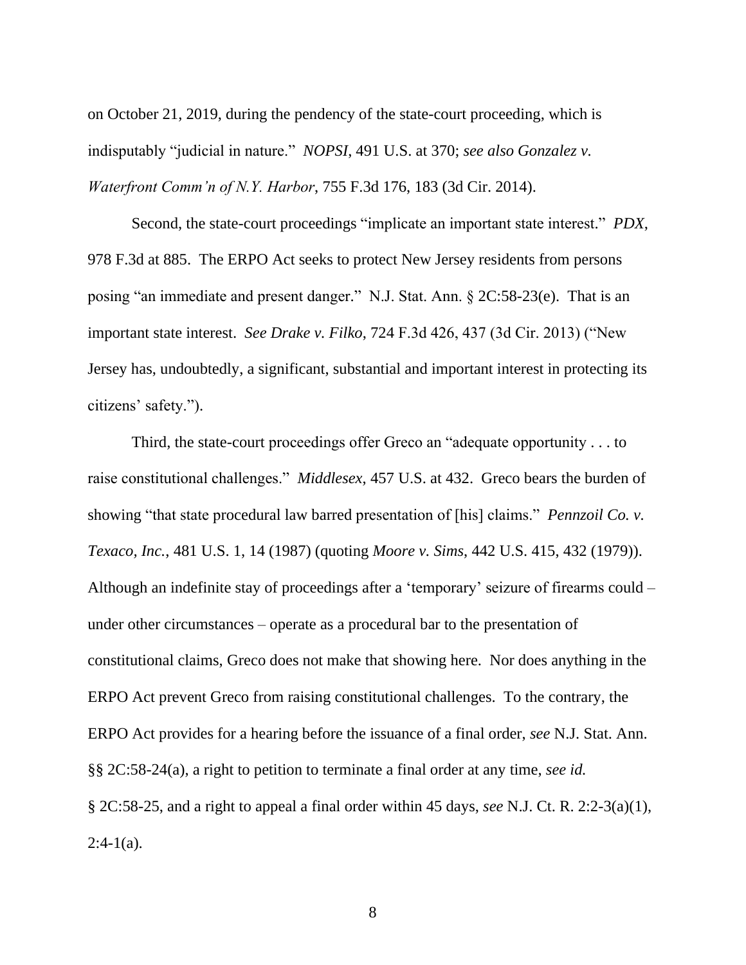on October 21, 2019, during the pendency of the state-court proceeding, which is indisputably "judicial in nature." *NOPSI*, 491 U.S. at 370; *see also Gonzalez v. Waterfront Comm'n of N.Y. Harbor*, 755 F.3d 176, 183 (3d Cir. 2014).

Second, the state-court proceedings "implicate an important state interest." *PDX*, 978 F.3d at 885. The ERPO Act seeks to protect New Jersey residents from persons posing "an immediate and present danger." N.J. Stat. Ann. § 2C:58-23(e). That is an important state interest. *See Drake v. Filko*, 724 F.3d 426, 437 (3d Cir. 2013) ("New Jersey has, undoubtedly, a significant, substantial and important interest in protecting its citizens' safety.").

Third, the state-court proceedings offer Greco an "adequate opportunity . . . to raise constitutional challenges." *Middlesex*, 457 U.S. at 432. Greco bears the burden of showing "that state procedural law barred presentation of [his] claims." *Pennzoil Co. v. Texaco, Inc.*, 481 U.S. 1, 14 (1987) (quoting *Moore v. Sims*, 442 U.S. 415, 432 (1979)). Although an indefinite stay of proceedings after a 'temporary' seizure of firearms could – under other circumstances – operate as a procedural bar to the presentation of constitutional claims, Greco does not make that showing here. Nor does anything in the ERPO Act prevent Greco from raising constitutional challenges. To the contrary, the ERPO Act provides for a hearing before the issuance of a final order, *see* N.J. Stat. Ann. §§ 2C:58-24(a), a right to petition to terminate a final order at any time, *see id.*  § 2C:58-25, and a right to appeal a final order within 45 days, *see* N.J. Ct. R. 2:2-3(a)(1),  $2:4-1(a)$ .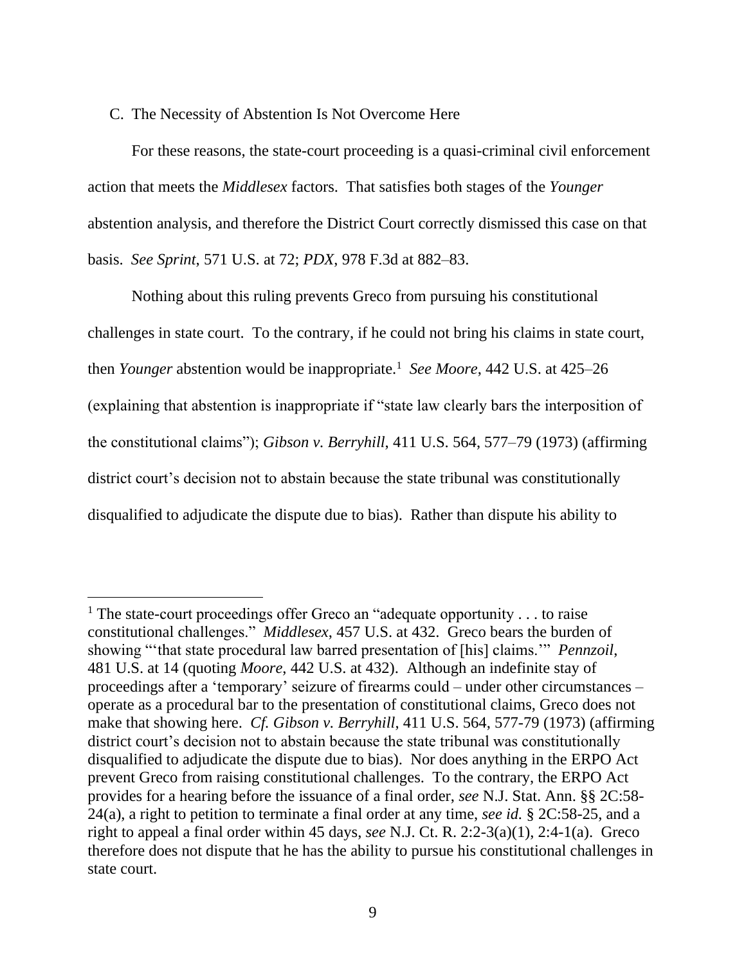### C. The Necessity of Abstention Is Not Overcome Here

For these reasons, the state-court proceeding is a quasi-criminal civil enforcement action that meets the *Middlesex* factors. That satisfies both stages of the *Younger* abstention analysis, and therefore the District Court correctly dismissed this case on that basis. *See Sprint*, 571 U.S. at 72; *PDX*, 978 F.3d at 882–83.

Nothing about this ruling prevents Greco from pursuing his constitutional challenges in state court. To the contrary, if he could not bring his claims in state court, then *Younger* abstention would be inappropriate.<sup>1</sup> See Moore, 442 U.S. at 425–26 (explaining that abstention is inappropriate if "state law clearly bars the interposition of the constitutional claims"); *Gibson v. Berryhill*, 411 U.S. 564, 577–79 (1973) (affirming district court's decision not to abstain because the state tribunal was constitutionally disqualified to adjudicate the dispute due to bias). Rather than dispute his ability to

<sup>&</sup>lt;sup>1</sup> The state-court proceedings offer Greco an "adequate opportunity  $\ldots$  to raise constitutional challenges." *Middlesex*, 457 U.S. at 432. Greco bears the burden of showing "'that state procedural law barred presentation of [his] claims.'" *Pennzoil*, 481 U.S. at 14 (quoting *Moore*, 442 U.S. at 432). Although an indefinite stay of proceedings after a 'temporary' seizure of firearms could – under other circumstances – operate as a procedural bar to the presentation of constitutional claims, Greco does not make that showing here. *Cf. Gibson v. Berryhill*, 411 U.S. 564, 577-79 (1973) (affirming district court's decision not to abstain because the state tribunal was constitutionally disqualified to adjudicate the dispute due to bias). Nor does anything in the ERPO Act prevent Greco from raising constitutional challenges. To the contrary, the ERPO Act provides for a hearing before the issuance of a final order, *see* N.J. Stat. Ann. §§ 2C:58- 24(a), a right to petition to terminate a final order at any time, *see id.* § 2C:58-25, and a right to appeal a final order within 45 days, *see* N.J. Ct. R. 2:2-3(a)(1), 2:4-1(a). Greco therefore does not dispute that he has the ability to pursue his constitutional challenges in state court.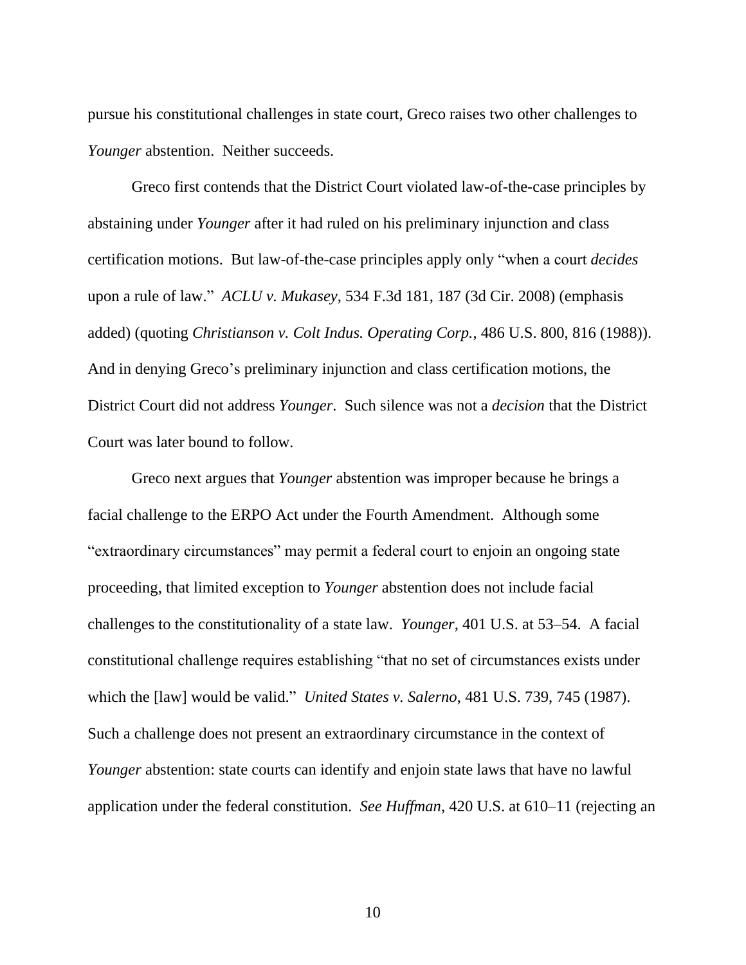pursue his constitutional challenges in state court, Greco raises two other challenges to *Younger* abstention. Neither succeeds.

Greco first contends that the District Court violated law-of-the-case principles by abstaining under *Younger* after it had ruled on his preliminary injunction and class certification motions. But law-of-the-case principles apply only "when a court *decides* upon a rule of law." *ACLU v. Mukasey*, 534 F.3d 181, 187 (3d Cir. 2008) (emphasis added) (quoting *Christianson v. Colt Indus. Operating Corp.*, 486 U.S. 800, 816 (1988)). And in denying Greco's preliminary injunction and class certification motions, the District Court did not address *Younger*. Such silence was not a *decision* that the District Court was later bound to follow.

Greco next argues that *Younger* abstention was improper because he brings a facial challenge to the ERPO Act under the Fourth Amendment. Although some "extraordinary circumstances" may permit a federal court to enjoin an ongoing state proceeding, that limited exception to *Younger* abstention does not include facial challenges to the constitutionality of a state law. *Younger*, 401 U.S. at 53–54. A facial constitutional challenge requires establishing "that no set of circumstances exists under which the [law] would be valid." *United States v. Salerno*, 481 U.S. 739, 745 (1987). Such a challenge does not present an extraordinary circumstance in the context of *Younger* abstention: state courts can identify and enjoin state laws that have no lawful application under the federal constitution. *See Huffman*, 420 U.S. at 610–11 (rejecting an